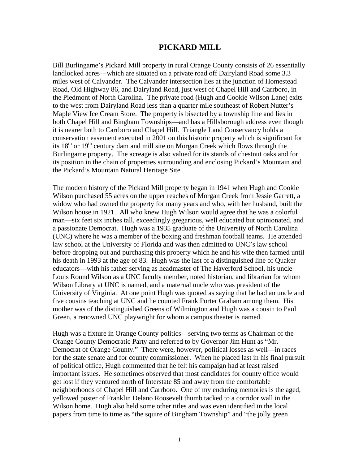## **PICKARD MILL**

Bill Burlingame's Pickard Mill property in rural Orange County consists of 26 essentially landlocked acres—which are situated on a private road off Dairyland Road some 3.3 miles west of Calvander. The Calvander intersection lies at the junction of Homestead Road, Old Highway 86, and Dairyland Road, just west of Chapel Hill and Carrboro, in the Piedmont of North Carolina. The private road (Hugh and Cookie Wilson Lane) exits to the west from Dairyland Road less than a quarter mile southeast of Robert Nutter's Maple View Ice Cream Store. The property is bisected by a township line and lies in both Chapel Hill and Bingham Townships—and has a Hillsborough address even though it is nearer both to Carrboro and Chapel Hill. Triangle Land Conservancy holds a conservation easement executed in 2001 on this historic property which is significant for its  $18<sup>th</sup>$  or  $19<sup>th</sup>$  century dam and mill site on Morgan Creek which flows through the Burlingame property. The acreage is also valued for its stands of chestnut oaks and for its position in the chain of properties surrounding and enclosing Pickard's Mountain and the Pickard's Mountain Natural Heritage Site.

The modern history of the Pickard Mill property began in 1941 when Hugh and Cookie Wilson purchased 55 acres on the upper reaches of Morgan Creek from Jessie Garrett, a widow who had owned the property for many years and who, with her husband, built the Wilson house in 1921. All who knew Hugh Wilson would agree that he was a colorful man—six feet six inches tall, exceedingly gregarious, well educated but opinionated, and a passionate Democrat. Hugh was a 1935 graduate of the University of North Carolina (UNC) where he was a member of the boxing and freshman football teams. He attended law school at the University of Florida and was then admitted to UNC's law school before dropping out and purchasing this property which he and his wife then farmed until his death in 1993 at the age of 83. Hugh was the last of a distinguished line of Quaker educators—with his father serving as headmaster of The Haverford School, his uncle Louis Round Wilson as a UNC faculty member, noted historian, and librarian for whom Wilson Library at UNC is named, and a maternal uncle who was president of the University of Virginia. At one point Hugh was quoted as saying that he had an uncle and five cousins teaching at UNC and he counted Frank Porter Graham among them. His mother was of the distinguished Greens of Wilmington and Hugh was a cousin to Paul Green, a renowned UNC playwright for whom a campus theater is named.

Hugh was a fixture in Orange County politics—serving two terms as Chairman of the Orange County Democratic Party and referred to by Governor Jim Hunt as "Mr. Democrat of Orange County." There were, however, political losses as well—in races for the state senate and for county commissioner. When he placed last in his final pursuit of political office, Hugh commented that he felt his campaign had at least raised important issues. He sometimes observed that most candidates for county office would get lost if they ventured north of Interstate 85 and away from the comfortable neighborhoods of Chapel Hill and Carrboro. One of my enduring memories is the aged, yellowed poster of Franklin Delano Roosevelt thumb tacked to a corridor wall in the Wilson home. Hugh also held some other titles and was even identified in the local papers from time to time as "the squire of Bingham Township" and "the jolly green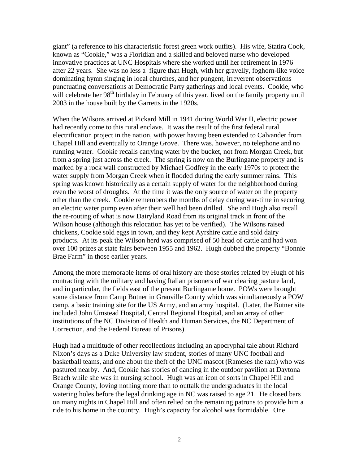giant" (a reference to his characteristic forest green work outfits). His wife, Statira Cook, known as "Cookie," was a Floridian and a skilled and beloved nurse who developed innovative practices at UNC Hospitals where she worked until her retirement in 1976 after 22 years. She was no less a figure than Hugh, with her gravelly, foghorn-like voice dominating hymn singing in local churches, and her pungent, irreverent observations punctuating conversations at Democratic Party gatherings and local events. Cookie, who will celebrate her 98<sup>th</sup> birthday in February of this year, lived on the family property until 2003 in the house built by the Garretts in the 1920s.

When the Wilsons arrived at Pickard Mill in 1941 during World War II, electric power had recently come to this rural enclave. It was the result of the first federal rural electrification project in the nation, with power having been extended to Calvander from Chapel Hill and eventually to Orange Grove. There was, however, no telephone and no running water. Cookie recalls carrying water by the bucket, not from Morgan Creek, but from a spring just across the creek. The spring is now on the Burlingame property and is marked by a rock wall constructed by Michael Godfrey in the early 1970s to protect the water supply from Morgan Creek when it flooded during the early summer rains. This spring was known historically as a certain supply of water for the neighborhood during even the worst of droughts. At the time it was the only source of water on the property other than the creek. Cookie remembers the months of delay during war-time in securing an electric water pump even after their well had been drilled. She and Hugh also recall the re-routing of what is now Dairyland Road from its original track in front of the Wilson house (although this relocation has yet to be verified). The Wilsons raised chickens, Cookie sold eggs in town, and they kept Ayrshire cattle and sold dairy products. At its peak the Wilson herd was comprised of 50 head of cattle and had won over 100 prizes at state fairs between 1955 and 1962. Hugh dubbed the property "Bonnie Brae Farm" in those earlier years.

Among the more memorable items of oral history are those stories related by Hugh of his contracting with the military and having Italian prisoners of war clearing pasture land, and in particular, the fields east of the present Burlingame home. POWs were brought some distance from Camp Butner in Granville County which was simultaneously a POW camp, a basic training site for the US Army, and an army hospital. (Later, the Butner site included John Umstead Hospital, Central Regional Hospital, and an array of other institutions of the NC Division of Health and Human Services, the NC Department of Correction, and the Federal Bureau of Prisons).

Hugh had a multitude of other recollections including an apocryphal tale about Richard Nixon's days as a Duke University law student, stories of many UNC football and basketball teams, and one about the theft of the UNC mascot (Rameses the ram) who was pastured nearby. And, Cookie has stories of dancing in the outdoor pavilion at Daytona Beach while she was in nursing school. Hugh was an icon of sorts in Chapel Hill and Orange County, loving nothing more than to outtalk the undergraduates in the local watering holes before the legal drinking age in NC was raised to age 21. He closed bars on many nights in Chapel Hill and often relied on the remaining patrons to provide him a ride to his home in the country. Hugh's capacity for alcohol was formidable. One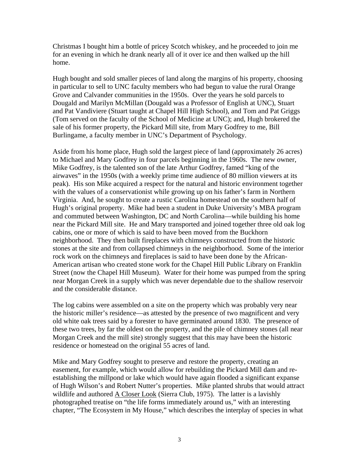Christmas I bought him a bottle of pricey Scotch whiskey, and he proceeded to join me for an evening in which he drank nearly all of it over ice and then walked up the hill home.

Hugh bought and sold smaller pieces of land along the margins of his property, choosing in particular to sell to UNC faculty members who had begun to value the rural Orange Grove and Calvander communities in the 1950s. Over the years he sold parcels to Dougald and Marilyn McMillan (Dougald was a Professor of English at UNC), Stuart and Pat Vandiviere (Stuart taught at Chapel Hill High School), and Tom and Pat Griggs (Tom served on the faculty of the School of Medicine at UNC); and, Hugh brokered the sale of his former property, the Pickard Mill site, from Mary Godfrey to me, Bill Burlingame, a faculty member in UNC's Department of Psychology.

Aside from his home place, Hugh sold the largest piece of land (approximately 26 acres) to Michael and Mary Godfrey in four parcels beginning in the 1960s. The new owner, Mike Godfrey, is the talented son of the late Arthur Godfrey, famed "king of the airwaves" in the 1950s (with a weekly prime time audience of 80 million viewers at its peak). His son Mike acquired a respect for the natural and historic environment together with the values of a conservationist while growing up on his father's farm in Northern Virginia. And, he sought to create a rustic Carolina homestead on the southern half of Hugh's original property. Mike had been a student in Duke University's MBA program and commuted between Washington, DC and North Carolina—while building his home near the Pickard Mill site. He and Mary transported and joined together three old oak log cabins, one or more of which is said to have been moved from the Buckhorn neighborhood. They then built fireplaces with chimneys constructed from the historic stones at the site and from collapsed chimneys in the neighborhood. Some of the interior rock work on the chimneys and fireplaces is said to have been done by the African-American artisan who created stone work for the Chapel Hill Public Library on Franklin Street (now the Chapel Hill Museum). Water for their home was pumped from the spring near Morgan Creek in a supply which was never dependable due to the shallow reservoir and the considerable distance.

The log cabins were assembled on a site on the property which was probably very near the historic miller's residence—as attested by the presence of two magnificent and very old white oak trees said by a forester to have germinated around 1830. The presence of these two trees, by far the oldest on the property, and the pile of chimney stones (all near Morgan Creek and the mill site) strongly suggest that this may have been the historic residence or homestead on the original 55 acres of land.

Mike and Mary Godfrey sought to preserve and restore the property, creating an easement, for example, which would allow for rebuilding the Pickard Mill dam and reestablishing the millpond or lake which would have again flooded a significant expanse of Hugh Wilson's and Robert Nutter's properties. Mike planted shrubs that would attract wildlife and authored A Closer Look (Sierra Club, 1975). The latter is a lavishly photographed treatise on "the life forms immediately around us," with an interesting chapter, "The Ecosystem in My House," which describes the interplay of species in what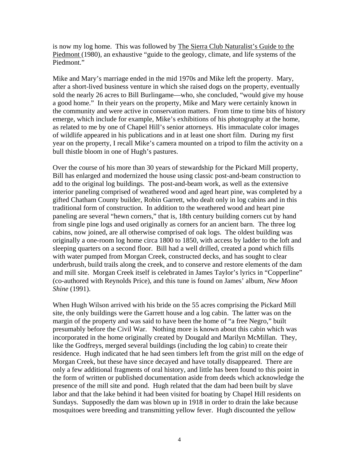is now my log home. This was followed by The Sierra Club Naturalist's Guide to the Piedmont (1980), an exhaustive "guide to the geology, climate, and life systems of the Piedmont."

Mike and Mary's marriage ended in the mid 1970s and Mike left the property. Mary, after a short-lived business venture in which she raised dogs on the property, eventually sold the nearly 26 acres to Bill Burlingame—who, she concluded, "would give my house a good home." In their years on the property, Mike and Mary were certainly known in the community and were active in conservation matters. From time to time bits of history emerge, which include for example, Mike's exhibitions of his photography at the home, as related to me by one of Chapel Hill's senior attorneys. His immaculate color images of wildlife appeared in his publications and in at least one short film. During my first year on the property, I recall Mike's camera mounted on a tripod to film the activity on a bull thistle bloom in one of Hugh's pastures.

Over the course of his more than 30 years of stewardship for the Pickard Mill property, Bill has enlarged and modernized the house using classic post-and-beam construction to add to the original log buildings. The post-and-beam work, as well as the extensive interior paneling comprised of weathered wood and aged heart pine, was completed by a gifted Chatham County builder, Robin Garrett, who dealt only in log cabins and in this traditional form of construction. In addition to the weathered wood and heart pine paneling are several "hewn corners," that is, 18th century building corners cut by hand from single pine logs and used originally as corners for an ancient barn. The three log cabins, now joined, are all otherwise comprised of oak logs. The oldest building was originally a one-room log home circa 1800 to 1850, with access by ladder to the loft and sleeping quarters on a second floor. Bill had a well drilled, created a pond which fills with water pumped from Morgan Creek, constructed decks, and has sought to clear underbrush, build trails along the creek, and to conserve and restore elements of the dam and mill site. Morgan Creek itself is celebrated in James Taylor's lyrics in "Copperline" (co-authored with Reynolds Price), and this tune is found on James' album, *New Moon Shine* (1991).

When Hugh Wilson arrived with his bride on the 55 acres comprising the Pickard Mill site, the only buildings were the Garrett house and a log cabin. The latter was on the margin of the property and was said to have been the home of "a free Negro," built presumably before the Civil War. Nothing more is known about this cabin which was incorporated in the home originally created by Dougald and Marilyn McMillan. They, like the Godfreys, merged several buildings (including the log cabin) to create their residence. Hugh indicated that he had seen timbers left from the grist mill on the edge of Morgan Creek, but these have since decayed and have totally disappeared. There are only a few additional fragments of oral history, and little has been found to this point in the form of written or published documentation aside from deeds which acknowledge the presence of the mill site and pond. Hugh related that the dam had been built by slave labor and that the lake behind it had been visited for boating by Chapel Hill residents on Sundays. Supposedly the dam was blown up in 1918 in order to drain the lake because mosquitoes were breeding and transmitting yellow fever. Hugh discounted the yellow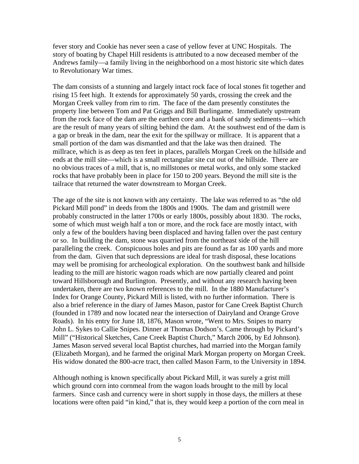fever story and Cookie has never seen a case of yellow fever at UNC Hospitals. The story of boating by Chapel Hill residents is attributed to a now deceased member of the Andrews family—a family living in the neighborhood on a most historic site which dates to Revolutionary War times.

The dam consists of a stunning and largely intact rock face of local stones fit together and rising 15 feet high. It extends for approximately 50 yards, crossing the creek and the Morgan Creek valley from rim to rim. The face of the dam presently constitutes the property line between Tom and Pat Griggs and Bill Burlingame. Immediately upstream from the rock face of the dam are the earthen core and a bank of sandy sediments—which are the result of many years of silting behind the dam. At the southwest end of the dam is a gap or break in the dam, near the exit for the spillway or millrace. It is apparent that a small portion of the dam was dismantled and that the lake was then drained. The millrace, which is as deep as ten feet in places, parallels Morgan Creek on the hillside and ends at the mill site—which is a small rectangular site cut out of the hillside. There are no obvious traces of a mill, that is, no millstones or metal works, and only some stacked rocks that have probably been in place for 150 to 200 years. Beyond the mill site is the tailrace that returned the water downstream to Morgan Creek.

The age of the site is not known with any certainty. The lake was referred to as "the old Pickard Mill pond" in deeds from the 1800s and 1900s. The dam and gristmill were probably constructed in the latter 1700s or early 1800s, possibly about 1830. The rocks, some of which must weigh half a ton or more, and the rock face are mostly intact, with only a few of the boulders having been displaced and having fallen over the past century or so. In building the dam, stone was quarried from the northeast side of the hill paralleling the creek. Conspicuous holes and pits are found as far as 100 yards and more from the dam. Given that such depressions are ideal for trash disposal, these locations may well be promising for archeological exploration. On the southwest bank and hillside leading to the mill are historic wagon roads which are now partially cleared and point toward Hillsborough and Burlington. Presently, and without any research having been undertaken, there are two known references to the mill. In the 1880 Manufacturer's Index for Orange County, Pickard Mill is listed, with no further information. There is also a brief reference in the diary of James Mason, pastor for Cane Creek Baptist Church (founded in 1789 and now located near the intersection of Dairyland and Orange Grove Roads). In his entry for June 18, 1876, Mason wrote, "Went to Mrs. Snipes to marry John L. Sykes to Callie Snipes. Dinner at Thomas Dodson's. Came through by Pickard's Mill" ("Historical Sketches, Cane Creek Baptist Church," March 2006, by Ed Johnson). James Mason served several local Baptist churches, had married into the Morgan family (Elizabeth Morgan), and he farmed the original Mark Morgan property on Morgan Creek. His widow donated the 800-acre tract, then called Mason Farm, to the University in 1894.

Although nothing is known specifically about Pickard Mill, it was surely a grist mill which ground corn into cornmeal from the wagon loads brought to the mill by local farmers. Since cash and currency were in short supply in those days, the millers at these locations were often paid "in kind," that is, they would keep a portion of the corn meal in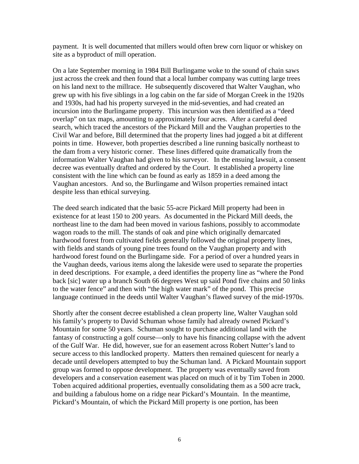payment. It is well documented that millers would often brew corn liquor or whiskey on site as a byproduct of mill operation.

On a late September morning in 1984 Bill Burlingame woke to the sound of chain saws just across the creek and then found that a local lumber company was cutting large trees on his land next to the millrace. He subsequently discovered that Walter Vaughan, who grew up with his five siblings in a log cabin on the far side of Morgan Creek in the 1920s and 1930s, had had his property surveyed in the mid-seventies, and had created an incursion into the Burlingame property. This incursion was then identified as a "deed overlap" on tax maps, amounting to approximately four acres. After a careful deed search, which traced the ancestors of the Pickard Mill and the Vaughan properties to the Civil War and before, Bill determined that the property lines had jogged a bit at different points in time. However, both properties described a line running basically northeast to the dam from a very historic corner. These lines differed quite dramatically from the information Walter Vaughan had given to his surveyor. In the ensuing lawsuit, a consent decree was eventually drafted and ordered by the Court. It established a property line consistent with the line which can be found as early as 1859 in a deed among the Vaughan ancestors. And so, the Burlingame and Wilson properties remained intact despite less than ethical surveying.

The deed search indicated that the basic 55-acre Pickard Mill property had been in existence for at least 150 to 200 years. As documented in the Pickard Mill deeds, the northeast line to the dam had been moved in various fashions, possibly to accommodate wagon roads to the mill. The stands of oak and pine which originally demarcated hardwood forest from cultivated fields generally followed the original property lines, with fields and stands of young pine trees found on the Vaughan property and with hardwood forest found on the Burlingame side. For a period of over a hundred years in the Vaughan deeds, various items along the lakeside were used to separate the properties in deed descriptions. For example, a deed identifies the property line as "where the Pond back [sic] water up a branch South 66 degrees West up said Pond five chains and 50 links to the water fence" and then with "the high water mark" of the pond. This precise language continued in the deeds until Walter Vaughan's flawed survey of the mid-1970s.

Shortly after the consent decree established a clean property line, Walter Vaughan sold his family's property to David Schuman whose family had already owned Pickard's Mountain for some 50 years. Schuman sought to purchase additional land with the fantasy of constructing a golf course—only to have his financing collapse with the advent of the Gulf War. He did, however, sue for an easement across Robert Nutter's land to secure access to this landlocked property. Matters then remained quiescent for nearly a decade until developers attempted to buy the Schuman land. A Pickard Mountain support group was formed to oppose development. The property was eventually saved from developers and a conservation easement was placed on much of it by Tim Toben in 2000. Toben acquired additional properties, eventually consolidating them as a 500 acre track, and building a fabulous home on a ridge near Pickard's Mountain. In the meantime, Pickard's Mountain, of which the Pickard Mill property is one portion, has been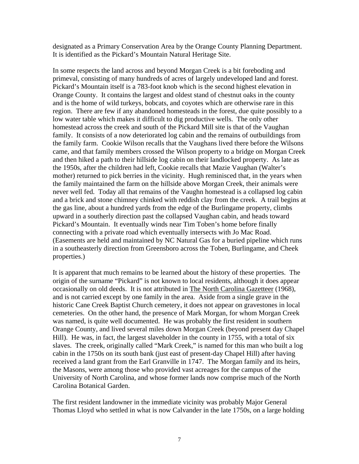designated as a Primary Conservation Area by the Orange County Planning Department. It is identified as the Pickard's Mountain Natural Heritage Site.

In some respects the land across and beyond Morgan Creek is a bit foreboding and primeval, consisting of many hundreds of acres of largely undeveloped land and forest. Pickard's Mountain itself is a 783-foot knob which is the second highest elevation in Orange County. It contains the largest and oldest stand of chestnut oaks in the county and is the home of wild turkeys, bobcats, and coyotes which are otherwise rare in this region. There are few if any abandoned homesteads in the forest, due quite possibly to a low water table which makes it difficult to dig productive wells. The only other homestead across the creek and south of the Pickard Mill site is that of the Vaughan family. It consists of a now deteriorated log cabin and the remains of outbuildings from the family farm. Cookie Wilson recalls that the Vaughans lived there before the Wilsons came, and that family members crossed the Wilson property to a bridge on Morgan Creek and then hiked a path to their hillside log cabin on their landlocked property. As late as the 1950s, after the children had left, Cookie recalls that Mazie Vaughan (Walter's mother) returned to pick berries in the vicinity. Hugh reminisced that, in the years when the family maintained the farm on the hillside above Morgan Creek, their animals were never well fed. Today all that remains of the Vaughn homestead is a collapsed log cabin and a brick and stone chimney chinked with reddish clay from the creek. A trail begins at the gas line, about a hundred yards from the edge of the Burlingame property, climbs upward in a southerly direction past the collapsed Vaughan cabin, and heads toward Pickard's Mountain. It eventually winds near Tim Toben's home before finally connecting with a private road which eventually intersects with Jo Mac Road. (Easements are held and maintained by NC Natural Gas for a buried pipeline which runs in a southeasterly direction from Greensboro across the Toben, Burlingame, and Cheek properties.)

It is apparent that much remains to be learned about the history of these properties. The origin of the surname "Pickard" is not known to local residents, although it does appear occasionally on old deeds. It is not attributed in The North Carolina Gazetteer (1968), and is not carried except by one family in the area. Aside from a single grave in the historic Cane Creek Baptist Church cemetery, it does not appear on gravestones in local cemeteries. On the other hand, the presence of Mark Morgan, for whom Morgan Creek was named, is quite well documented. He was probably the first resident in southern Orange County, and lived several miles down Morgan Creek (beyond present day Chapel Hill). He was, in fact, the largest slaveholder in the county in 1755, with a total of six slaves. The creek, originally called "Mark Creek," is named for this man who built a log cabin in the 1750s on its south bank (just east of present-day Chapel Hill) after having received a land grant from the Earl Granville in 1747. The Morgan family and its heirs, the Masons, were among those who provided vast acreages for the campus of the University of North Carolina, and whose former lands now comprise much of the North Carolina Botanical Garden.

The first resident landowner in the immediate vicinity was probably Major General Thomas Lloyd who settled in what is now Calvander in the late 1750s, on a large holding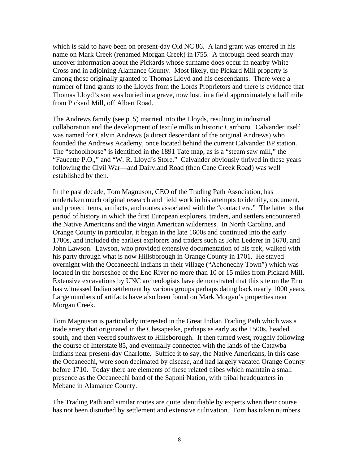which is said to have been on present-day Old NC 86. A land grant was entered in his name on Mark Creek (renamed Morgan Creek) in l755. A thorough deed search may uncover information about the Pickards whose surname does occur in nearby White Cross and in adjoining Alamance County. Most likely, the Pickard Mill property is among those originally granted to Thomas Lloyd and his descendants. There were a number of land grants to the Lloyds from the Lords Proprietors and there is evidence that Thomas Lloyd's son was buried in a grave, now lost, in a field approximately a half mile from Pickard Mill, off Albert Road.

The Andrews family (see p. 5) married into the Lloyds, resulting in industrial collaboration and the development of textile mills in historic Carrboro. Calvander itself was named for Calvin Andrews (a direct descendant of the original Andrews) who founded the Andrews Academy, once located behind the current Calvander BP station. The "schoolhouse" is identified in the 1891 Tate map, as is a "steam saw mill," the "Faucette P.O.," and "W. R. Lloyd's Store." Calvander obviously thrived in these years following the Civil War—and Dairyland Road (then Cane Creek Road) was well established by then.

In the past decade, Tom Magnuson, CEO of the Trading Path Association, has undertaken much original research and field work in his attempts to identify, document, and protect items, artifacts, and routes associated with the "contact era." The latter is that period of history in which the first European explorers, traders, and settlers encountered the Native Americans and the virgin American wilderness. In North Carolina, and Orange County in particular, it began in the late 1600s and continued into the early 1700s, and included the earliest explorers and traders such as John Lederer in 1670, and John Lawson. Lawson, who provided extensive documentation of his trek, walked with his party through what is now Hillsborough in Orange County in 1701. He stayed overnight with the Occaneechi Indians in their village ("Achonechy Town") which was located in the horseshoe of the Eno River no more than 10 or 15 miles from Pickard Mill. Extensive excavations by UNC archeologists have demonstrated that this site on the Eno has witnessed Indian settlement by various groups perhaps dating back nearly 1000 years. Large numbers of artifacts have also been found on Mark Morgan's properties near Morgan Creek.

Tom Magnuson is particularly interested in the Great Indian Trading Path which was a trade artery that originated in the Chesapeake, perhaps as early as the 1500s, headed south, and then veered southwest to Hillsborough. It then turned west, roughly following the course of Interstate 85, and eventually connected with the lands of the Catawba Indians near present-day Charlotte. Suffice it to say, the Native Americans, in this case the Occaneechi, were soon decimated by disease, and had largely vacated Orange County before 1710. Today there are elements of these related tribes which maintain a small presence as the Occaneechi band of the Saponi Nation, with tribal headquarters in Mebane in Alamance County.

The Trading Path and similar routes are quite identifiable by experts when their course has not been disturbed by settlement and extensive cultivation. Tom has taken numbers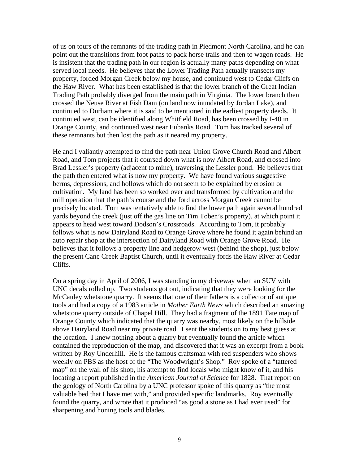of us on tours of the remnants of the trading path in Piedmont North Carolina, and he can point out the transitions from foot paths to pack horse trails and then to wagon roads. He is insistent that the trading path in our region is actually many paths depending on what served local needs. He believes that the Lower Trading Path actually transects my property, forded Morgan Creek below my house, and continued west to Cedar Cliffs on the Haw River. What has been established is that the lower branch of the Great Indian Trading Path probably diverged from the main path in Virginia. The lower branch then crossed the Neuse River at Fish Dam (on land now inundated by Jordan Lake), and continued to Durham where it is said to be mentioned in the earliest property deeds. It continued west, can be identified along Whitfield Road, has been crossed by I-40 in Orange County, and continued west near Eubanks Road. Tom has tracked several of these remnants but then lost the path as it neared my property.

He and I valiantly attempted to find the path near Union Grove Church Road and Albert Road, and Tom projects that it coursed down what is now Albert Road, and crossed into Brad Lessler's property (adjacent to mine), traversing the Lessler pond. He believes that the path then entered what is now my property. We have found various suggestive berms, depressions, and hollows which do not seem to be explained by erosion or cultivation. My land has been so worked over and transformed by cultivation and the mill operation that the path's course and the ford across Morgan Creek cannot be precisely located. Tom was tentatively able to find the lower path again several hundred yards beyond the creek (just off the gas line on Tim Toben's property), at which point it appears to head west toward Dodson's Crossroads. According to Tom, it probably follows what is now Dairyland Road to Orange Grove where he found it again behind an auto repair shop at the intersection of Dairyland Road with Orange Grove Road. He believes that it follows a property line and hedgerow west (behind the shop), just below the present Cane Creek Baptist Church, until it eventually fords the Haw River at Cedar Cliffs.

On a spring day in April of 2006, I was standing in my driveway when an SUV with UNC decals rolled up. Two students got out, indicating that they were looking for the McCauley whetstone quarry. It seems that one of their fathers is a collector of antique tools and had a copy of a 1983 article in *Mother Earth News* which described an amazing whetstone quarry outside of Chapel Hill. They had a fragment of the 1891 Tate map of Orange County which indicated that the quarry was nearby, most likely on the hillside above Dairyland Road near my private road. I sent the students on to my best guess at the location. I knew nothing about a quarry but eventually found the article which contained the reproduction of the map, and discovered that it was an excerpt from a book written by Roy Underhill. He is the famous craftsman with red suspenders who shows weekly on PBS as the host of the "The Woodwright's Shop." Roy spoke of a "tattered map" on the wall of his shop, his attempt to find locals who might know of it, and his locating a report published in the *American Journal of Science* for 1828. That report on the geology of North Carolina by a UNC professor spoke of this quarry as "the most valuable bed that I have met with," and provided specific landmarks. Roy eventually found the quarry, and wrote that it produced "as good a stone as I had ever used" for sharpening and honing tools and blades.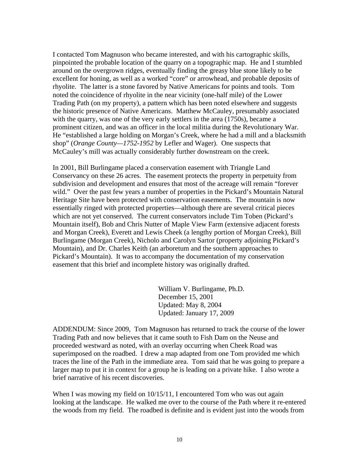I contacted Tom Magnuson who became interested, and with his cartographic skills, pinpointed the probable location of the quarry on a topographic map. He and I stumbled around on the overgrown ridges, eventually finding the greasy blue stone likely to be excellent for honing, as well as a worked "core" or arrowhead, and probable deposits of rhyolite. The latter is a stone favored by Native Americans for points and tools. Tom noted the coincidence of rhyolite in the near vicinity (one-half mile) of the Lower Trading Path (on my property), a pattern which has been noted elsewhere and suggests the historic presence of Native Americans. Matthew McCauley, presumably associated with the quarry, was one of the very early settlers in the area (1750s), became a prominent citizen, and was an officer in the local militia during the Revolutionary War. He "established a large holding on Morgan's Creek, where he had a mill and a blacksmith shop" (*Orange County—1752-1952* by Lefler and Wager). One suspects that McCauley's mill was actually considerably further downstream on the creek.

In 2001, Bill Burlingame placed a conservation easement with Triangle Land Conservancy on these 26 acres. The easement protects the property in perpetuity from subdivision and development and ensures that most of the acreage will remain "forever wild." Over the past few years a number of properties in the Pickard's Mountain Natural Heritage Site have been protected with conservation easements. The mountain is now essentially ringed with protected properties—although there are several critical pieces which are not yet conserved. The current conservators include Tim Toben (Pickard's Mountain itself), Bob and Chris Nutter of Maple View Farm (extensive adjacent forests and Morgan Creek), Everett and Lewis Cheek (a lengthy portion of Morgan Creek), Bill Burlingame (Morgan Creek), Nicholo and Carolyn Sartor (property adjoining Pickard's Mountain), and Dr. Charles Keith (an arboretum and the southern approaches to Pickard's Mountain). It was to accompany the documentation of my conservation easement that this brief and incomplete history was originally drafted.

> William V. Burlingame, Ph.D. December 15, 2001 Updated: May 8, 2004 Updated: January 17, 2009

ADDENDUM: Since 2009, Tom Magnuson has returned to track the course of the lower Trading Path and now believes that it came south to Fish Dam on the Neuse and proceeded westward as noted, with an overlay occurring when Cheek Road was superimposed on the roadbed. I drew a map adapted from one Tom provided me which traces the line of the Path in the immediate area. Tom said that he was going to prepare a larger map to put it in context for a group he is leading on a private hike. I also wrote a brief narrative of his recent discoveries.

When I was mowing my field on  $10/15/11$ , I encountered Tom who was out again looking at the landscape. He walked me over to the course of the Path where it re-entered the woods from my field. The roadbed is definite and is evident just into the woods from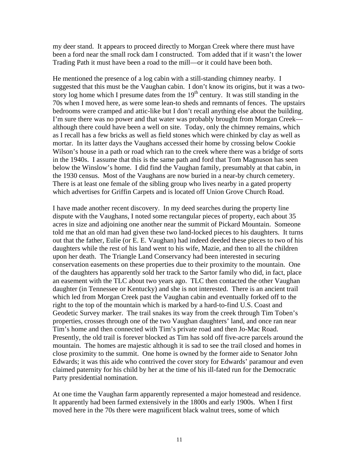my deer stand. It appears to proceed directly to Morgan Creek where there must have been a ford near the small rock dam I constructed. Tom added that if it wasn't the lower Trading Path it must have been a road to the mill—or it could have been both.

He mentioned the presence of a log cabin with a still-standing chimney nearby. I suggested that this must be the Vaughan cabin. I don't know its origins, but it was a twostory log home which I presume dates from the  $19<sup>th</sup>$  century. It was still standing in the 70s when I moved here, as were some lean-to sheds and remnants of fences. The upstairs bedrooms were cramped and attic-like but I don't recall anything else about the building. I'm sure there was no power and that water was probably brought from Morgan Creek although there could have been a well on site. Today, only the chimney remains, which as I recall has a few bricks as well as field stones which were chinked by clay as well as mortar. In its latter days the Vaughans accessed their home by crossing below Cookie Wilson's house in a path or road which ran to the creek where there was a bridge of sorts in the 1940s. I assume that this is the same path and ford that Tom Magnuson has seen below the Winslow's home. I did find the Vaughan family, presumably at that cabin, in the 1930 census. Most of the Vaughans are now buried in a near-by church cemetery. There is at least one female of the sibling group who lives nearby in a gated property which advertises for Griffin Carpets and is located off Union Grove Church Road.

I have made another recent discovery. In my deed searches during the property line dispute with the Vaughans, I noted some rectangular pieces of property, each about 35 acres in size and adjoining one another near the summit of Pickard Mountain. Someone told me that an old man had given these two land-locked pieces to his daughters. It turns out that the father, Eulie (or E. E. Vaughan) had indeed deeded these pieces to two of his daughters while the rest of his land went to his wife, Mazie, and then to all the children upon her death. The Triangle Land Conservancy had been interested in securing conservation easements on these properties due to their proximity to the mountain. One of the daughters has apparently sold her track to the Sartor family who did, in fact, place an easement with the TLC about two years ago. TLC then contacted the other Vaughan daughter (in Tennessee or Kentucky) and she is not interested. There is an ancient trail which led from Morgan Creek past the Vaughan cabin and eventually forked off to the right to the top of the mountain which is marked by a hard-to-find U.S. Coast and Geodetic Survey marker. The trail snakes its way from the creek through Tim Toben's properties, crosses through one of the two Vaughan daughters' land, and once ran near Tim's home and then connected with Tim's private road and then Jo-Mac Road. Presently, the old trail is forever blocked as Tim has sold off five-acre parcels around the mountain. The homes are majestic although it is sad to see the trail closed and homes in close proximity to the summit. One home is owned by the former aide to Senator John Edwards; it was this aide who contrived the cover story for Edwards' paramour and even claimed paternity for his child by her at the time of his ill-fated run for the Democratic Party presidential nomination.

At one time the Vaughan farm apparently represented a major homestead and residence. It apparently had been farmed extensively in the 1800s and early 1900s. When I first moved here in the 70s there were magnificent black walnut trees, some of which